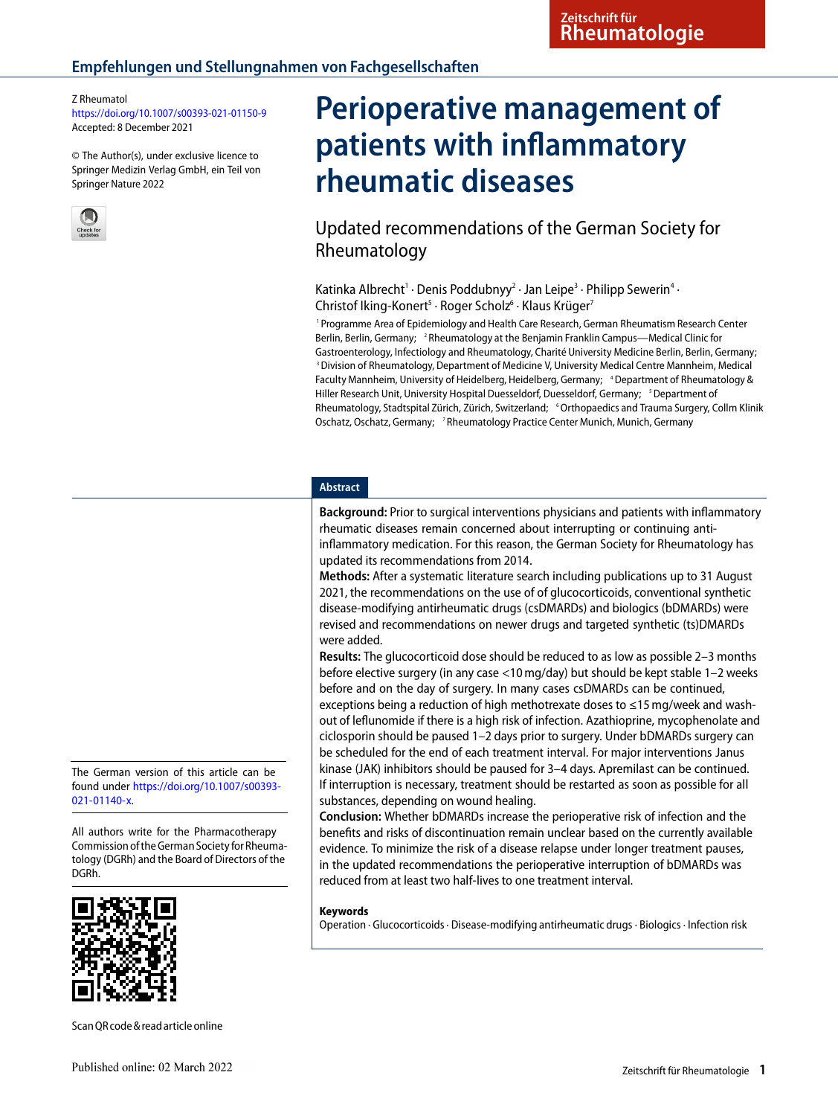#### Z Rheumatol

<https://doi.org/10.1007/s00393-021-01150-9> Accepted: 8 December 2021

© The Author(s), under exclusive licence to Springer Medizin Verlag GmbH, ein Teil von Springer Nature 2022



# **Perioperative management of patients with inflammatory rheumatic diseases**

Updated recommendations of the German Society for Rheumatology

Katinka Albrecht<sup>1</sup> · Denis Poddubnyy<sup>2</sup> · Jan Leipe<sup>3</sup> · Philipp Sewerin<sup>4</sup> · Christof Iking-Konert<sup>5</sup> · Roger Scholz<sup>6</sup> · Klaus Krüger<sup>7</sup>

1 Programme Area of Epidemiology and Health Care Research, German Rheumatism Research Center Berlin, Berlin, Germany; <sup>2</sup> Rheumatology at the Benjamin Franklin Campus—Medical Clinic for Gastroenterology, Infectiology and Rheumatology, Charité University Medicine Berlin, Berlin, Germany; 3 Division of Rheumatology, Department of Medicine V, University Medical Centre Mannheim, Medical Faculty Mannheim, University of Heidelberg, Heidelberg, Germany; 'Department of Rheumatology & Hiller Research Unit, University Hospital Duesseldorf, Duesseldorf, Germany; <sup>5</sup> Department of Rheumatology, Stadtspital Zürich, Zürich, Switzerland; <sup>6</sup> Orthopaedics and Trauma Surgery, Collm Klinik Oschatz, Oschatz, Germany; <sup>7</sup> Rheumatology Practice Center Munich, Munich, Germany

## **Abstract**

**Background:** Prior to surgical interventions physicians and patients with inflammatory rheumatic diseases remain concerned about interrupting or continuing antiinflammatory medication. For this reason, the German Society for Rheumatology has updated its recommendations from 2014.

**Methods:** After a systematic literature search including publications up to 31 August 2021, the recommendations on the use of of glucocorticoids, conventional synthetic disease-modifying antirheumatic drugs (csDMARDs) and biologics (bDMARDs) were revised and recommendations on newer drugs and targeted synthetic (ts)DMARDs were added.

**Results:** The glucocorticoid dose should be reduced to as low as possible 2–3 months before elective surgery (in any case <10 mg/day) but should be kept stable 1–2 weeks before and on the day of surgery. In many cases csDMARDs can be continued, exceptions being a reduction of high methotrexate doses to ≤15 mg/week and washout of leflunomide if there is a high risk of infection. Azathioprine, mycophenolate and ciclosporin should be paused 1–2 days prior to surgery. Under bDMARDs surgery can be scheduled for the end of each treatment interval. For major interventions Janus kinase (JAK) inhibitors should be paused for 3–4 days. Apremilast can be continued. If interruption is necessary, treatment should be restarted as soon as possible for all substances, depending on wound healing.

**Conclusion:** Whether bDMARDs increase the perioperative risk of infection and the benefits and risks of discontinuation remain unclear based on the currently available evidence. To minimize the risk of a disease relapse under longer treatment pauses, in the updated recommendations the perioperative interruption of bDMARDs was reduced from at least two half-lives to one treatment interval.

#### **Keywords**

Operation · Glucocorticoids · Disease-modifying antirheumatic drugs · Biologics · Infection risk

The German version of this article can be found under [https://doi.org/10.1007/s00393-](https://doi.org/10.1007/s00393-021-01140-x) [021-01140-x.](https://doi.org/10.1007/s00393-021-01140-x)

All authors write for the Pharmacotherapy Commission of the German Society for Rheumatology (DGRh) and the Board of Directors of the DGRh.



ScanQR code & readarticleonline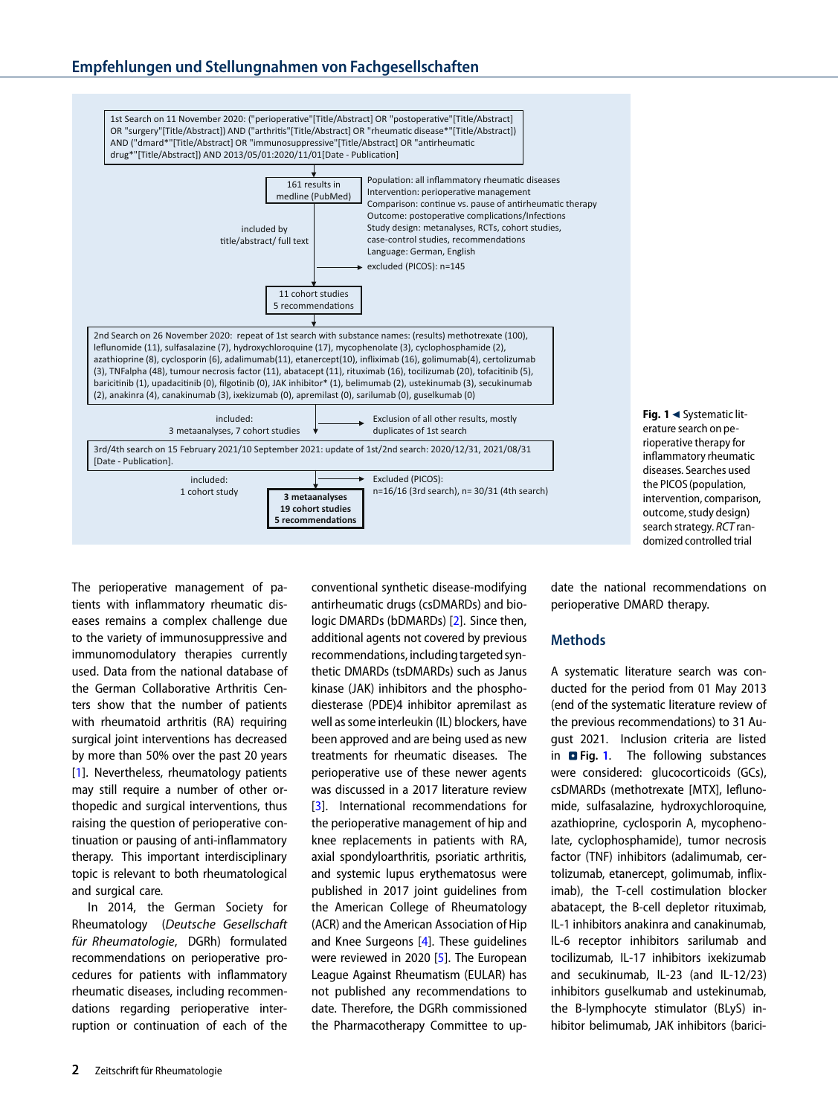# **Empfehlungen und Stellungnahmen von Fachgesellschaften**



<span id="page-1-0"></span>**Fig. 1** < Systematic literature search on perioperative therapy for inflammatory rheumatic diseases. Searches used the PICOS(population, intervention, comparison, outcome, study design) search strategy. RCT randomized controlled trial

The perioperative management of patients with inflammatory rheumatic diseases remains a complex challenge due to the variety of immunosuppressive and immunomodulatory therapies currently used. Data from the national database of the German Collaborative Arthritis Centers show that the number of patients with rheumatoid arthritis (RA) requiring surgical joint interventions has decreased by more than 50% over the past 20 years [\[1\]](#page-8-0). Nevertheless, rheumatology patients may still require a number of other orthopedic and surgical interventions, thus raising the question of perioperative continuation or pausing of anti-inflammatory therapy. This important interdisciplinary topic is relevant to both rheumatological and surgical care.

In 2014, the German Society for Rheumatology (Deutsche Gesellschaft für Rheumatologie, DGRh) formulated recommendations on perioperative procedures for patients with inflammatory rheumatic diseases, including recommendations regarding perioperative interruption or continuation of each of the

conventional synthetic disease-modifying antirheumatic drugs (csDMARDs) and biologic DMARDs (bDMARDs) [\[2\]](#page-8-1). Since then, additional agents not covered by previous recommendations, including targeted synthetic DMARDs (tsDMARDs) such as Janus kinase (JAK) inhibitors and the phosphodiesterase (PDE)4 inhibitor apremilast as well as some interleukin (IL) blockers, have been approved and are being used as new treatments for rheumatic diseases. The perioperative use of these newer agents was discussed in a 2017 literature review [\[3\]](#page-8-2). International recommendations for the perioperative management of hip and knee replacements in patients with RA, axial spondyloarthritis, psoriatic arthritis, and systemic lupus erythematosus were published in 2017 joint guidelines from the American College of Rheumatology (ACR) and the American Association of Hip and Knee Surgeons [\[4\]](#page-8-3). These guidelines were reviewed in 2020 [\[5\]](#page-8-4). The European League Against Rheumatism (EULAR) has not published any recommendations to date. Therefore, the DGRh commissioned the Pharmacotherapy Committee to update the national recommendations on perioperative DMARD therapy.

## **Methods**

A systematic literature search was conducted for the period from 01 May 2013 (end of the systematic literature review of the previous recommendations) to 31 August 2021. Inclusion criteria are listed in **D** Fig. [1](#page-1-0). The following substances were considered: glucocorticoids (GCs), csDMARDs (methotrexate [MTX], leflunomide, sulfasalazine, hydroxychloroquine, azathioprine, cyclosporin A, mycophenolate, cyclophosphamide), tumor necrosis factor (TNF) inhibitors (adalimumab, certolizumab, etanercept, golimumab, infliximab), the T-cell costimulation blocker abatacept, the B-cell depletor rituximab, IL-1 inhibitors anakinra and canakinumab, IL-6 receptor inhibitors sarilumab and tocilizumab, IL-17 inhibitors ixekizumab and secukinumab, IL-23 (and IL-12/23) inhibitors guselkumab and ustekinumab, the B-lymphocyte stimulator (BLyS) inhibitor belimumab, JAK inhibitors (barici-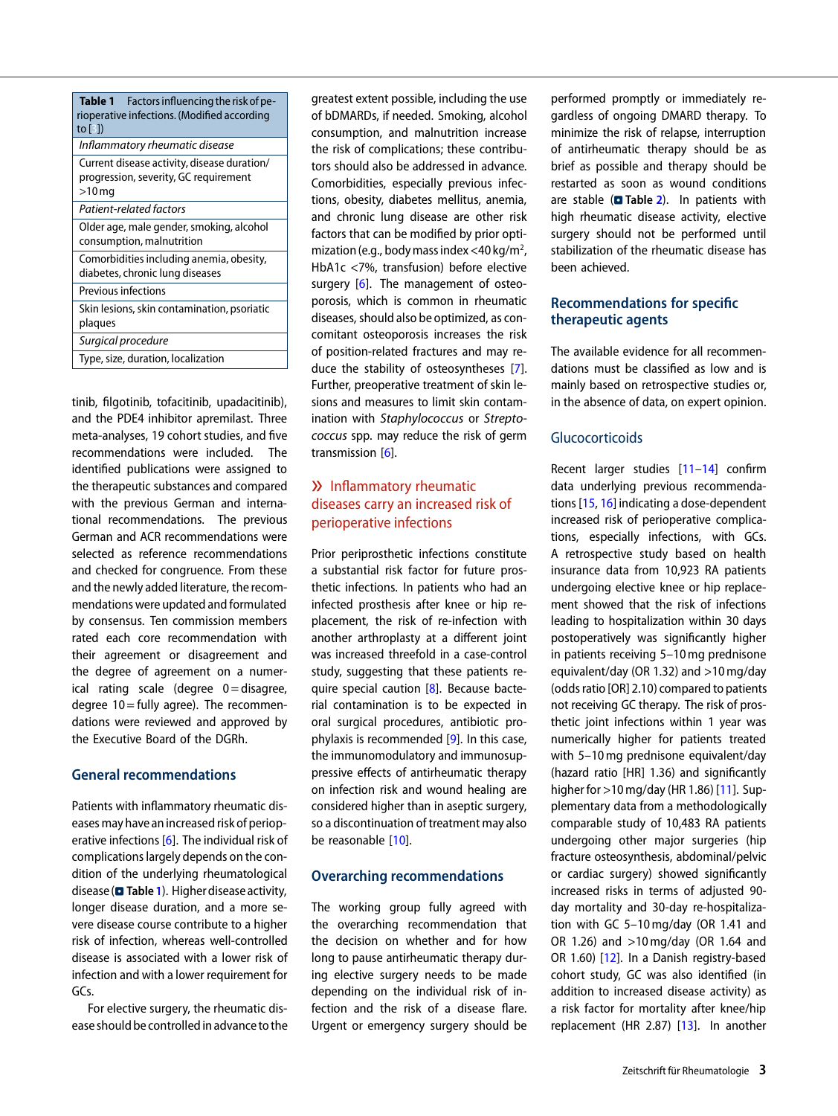<span id="page-2-0"></span>

| <b>Table 1</b> Factors influencing the risk of pe-<br>rioperative infections. (Modified according<br>to $\lceil 3 \rceil$ |  |  |
|---------------------------------------------------------------------------------------------------------------------------|--|--|
| Inflammatory rheumatic disease                                                                                            |  |  |
| Current disease activity, disease duration/<br>progression, severity, GC requirement<br>$>10$ mg                          |  |  |
| Patient-related factors                                                                                                   |  |  |
| Older age, male gender, smoking, alcohol<br>consumption, malnutrition                                                     |  |  |
| Comorbidities including anemia, obesity,<br>diabetes, chronic lung diseases                                               |  |  |
| <b>Previous infections</b>                                                                                                |  |  |
| Skin lesions, skin contamination, psoriatic<br>plaques                                                                    |  |  |
| Surgical procedure                                                                                                        |  |  |
| Type, size, duration, localization                                                                                        |  |  |

tinib, filgotinib, tofacitinib, upadacitinib), and the PDE4 inhibitor apremilast. Three meta-analyses, 19 cohort studies, and five recommendations were included. The identified publications were assigned to the therapeutic substances and compared with the previous German and international recommendations. The previous German and ACR recommendations were selected as reference recommendations and checked for congruence. From these and the newly added literature, the recommendations were updated and formulated by consensus. Ten commission members rated each core recommendation with their agreement or disagreement and the degree of agreement on a numerical rating scale (degree  $0 =$  disagree, degree 10 = fully agree). The recommendations were reviewed and approved by the Executive Board of the DGRh.

# **General recommendations**

Patients with inflammatory rheumatic diseases may have an increased risk of perioperative infections [\[6\]](#page-8-5). The individual risk of complications largely depends on the condition of the underlying rheumatological disease (**D** Table [1](#page-2-0)). Higher disease activity, longer disease duration, and a more severe disease course contribute to a higher risk of infection, whereas well-controlled disease is associated with a lower risk of infection and with a lower requirement for GCs.

For elective surgery, the rheumatic disease should be controlled in advance to the greatest extent possible, including the use of bDMARDs, if needed. Smoking, alcohol consumption, and malnutrition increase the risk of complications; these contributors should also be addressed in advance. Comorbidities, especially previous infections, obesity, diabetes mellitus, anemia, and chronic lung disease are other risk factors that can be modified by prior optimization (e.g., body mass index <40 kg/m<sup>2</sup>, HbA1c <7%, transfusion) before elective surgery [\[6\]](#page-8-5). The management of osteoporosis, which is common in rheumatic diseases, should also be optimized, as concomitant osteoporosis increases the risk of position-related fractures and may reduce the stability of osteosyntheses [\[7\]](#page-8-6). Further, preoperative treatment of skin lesions and measures to limit skin contamination with Staphylococcus or Streptococcus spp. may reduce the risk of germ transmission [\[6\]](#page-8-5).

# » Inflammatory rheumatic diseases carry an increased risk of perioperative infections

Prior periprosthetic infections constitute a substantial risk factor for future prosthetic infections. In patients who had an infected prosthesis after knee or hip replacement, the risk of re-infection with another arthroplasty at a different joint was increased threefold in a case-control study, suggesting that these patients re-quire special caution [\[8\]](#page-8-7). Because bacterial contamination is to be expected in oral surgical procedures, antibiotic prophylaxis is recommended [\[9\]](#page-8-8). In this case, the immunomodulatory and immunosuppressive effects of antirheumatic therapy on infection risk and wound healing are considered higher than in aseptic surgery, so a discontinuation of treatment may also be reasonable [\[10\]](#page-8-9).

## **Overarching recommendations**

The working group fully agreed with the overarching recommendation that the decision on whether and for how long to pause antirheumatic therapy during elective surgery needs to be made depending on the individual risk of infection and the risk of a disease flare. Urgent or emergency surgery should be

performed promptly or immediately regardless of ongoing DMARD therapy. To minimize the risk of relapse, interruption of antirheumatic therapy should be as brief as possible and therapy should be restarted as soon as wound conditions are stable (**D** Table [2](#page-3-0)). In patients with high rheumatic disease activity, elective surgery should not be performed until stabilization of the rheumatic disease has been achieved.

# **Recommendations for specific therapeutic agents**

The available evidence for all recommendations must be classified as low and is mainly based on retrospective studies or, in the absence of data, on expert opinion.

# **Glucocorticoids**

Recent larger studies [\[11–](#page-8-10)[14\]](#page-8-11) confirm data underlying previous recommendations [\[15,](#page-8-12) [16\]](#page-8-13) indicating a dose-dependent increased risk of perioperative complications, especially infections, with GCs. A retrospective study based on health insurance data from 10,923 RA patients undergoing elective knee or hip replacement showed that the risk of infections leading to hospitalization within 30 days postoperatively was significantly higher in patients receiving 5–10 mg prednisone equivalent/day (OR 1.32) and >10 mg/day (odds ratio [OR] 2.10) compared to patients not receiving GC therapy. The risk of prosthetic joint infections within 1 year was numerically higher for patients treated with 5–10 mg prednisone equivalent/day (hazard ratio [HR] 1.36) and significantly higher for >10 mg/day (HR 1.86) [\[11\]](#page-8-10). Supplementary data from a methodologically comparable study of 10,483 RA patients undergoing other major surgeries (hip fracture osteosynthesis, abdominal/pelvic or cardiac surgery) showed significantly increased risks in terms of adjusted 90 day mortality and 30-day re-hospitalization with GC 5–10 mg/day (OR 1.41 and OR 1.26) and >10 mg/day (OR 1.64 and OR 1.60) [\[12\]](#page-8-14). In a Danish registry-based cohort study, GC was also identified (in addition to increased disease activity) as a risk factor for mortality after knee/hip replacement (HR 2.87) [\[13\]](#page-8-15). In another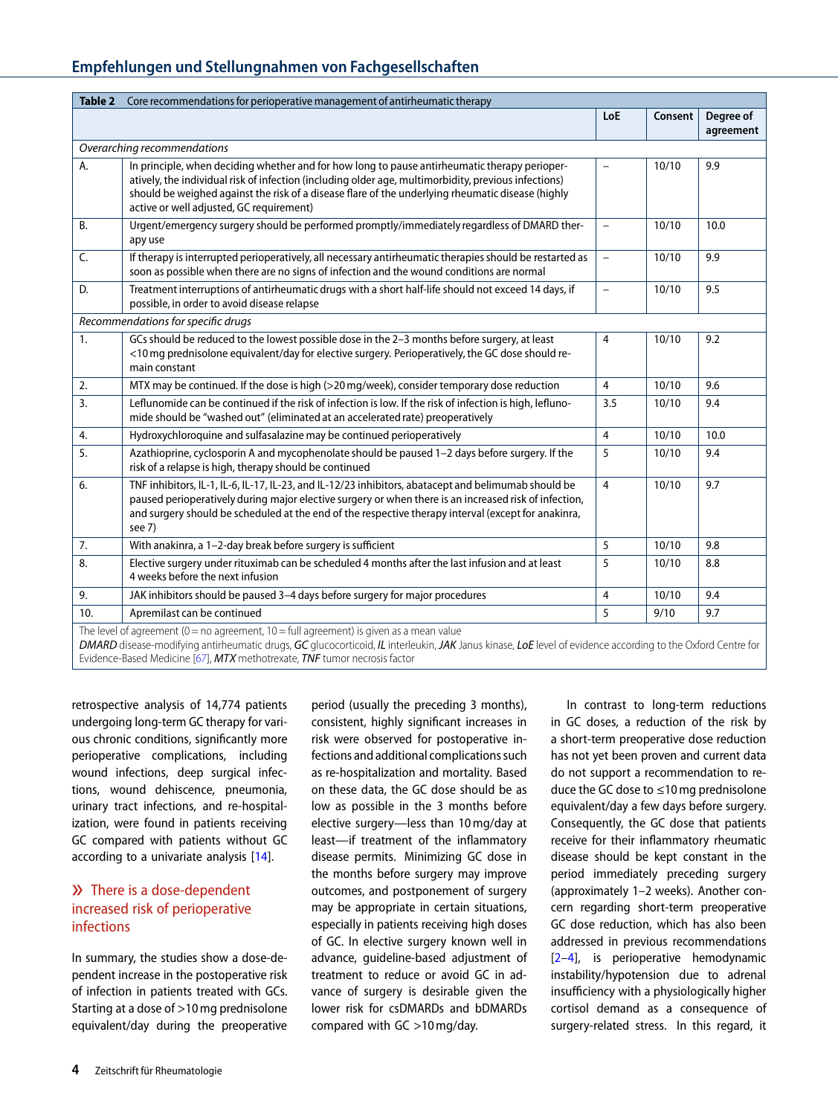# **Empfehlungen und Stellungnahmen von Fachgesellschaften**

<span id="page-3-0"></span>

| Core recommendations for perioperative management of antirheumatic therapy<br>Table 2 |                                                                                                                                                                                                                                                                                                                                                        |                          |         |                        |  |  |  |
|---------------------------------------------------------------------------------------|--------------------------------------------------------------------------------------------------------------------------------------------------------------------------------------------------------------------------------------------------------------------------------------------------------------------------------------------------------|--------------------------|---------|------------------------|--|--|--|
|                                                                                       |                                                                                                                                                                                                                                                                                                                                                        | LoE                      | Consent | Degree of<br>agreement |  |  |  |
| Overarching recommendations                                                           |                                                                                                                                                                                                                                                                                                                                                        |                          |         |                        |  |  |  |
| А.                                                                                    | In principle, when deciding whether and for how long to pause antirheumatic therapy perioper-<br>atively, the individual risk of infection (including older age, multimorbidity, previous infections)<br>should be weighed against the risk of a disease flare of the underlying rheumatic disease (highly<br>active or well adjusted, GC requirement) | $\overline{\phantom{0}}$ | 10/10   | 9.9                    |  |  |  |
| <b>B.</b>                                                                             | Urgent/emergency surgery should be performed promptly/immediately regardless of DMARD ther-<br>apy use                                                                                                                                                                                                                                                 | $\overline{a}$           | 10/10   | 10.0                   |  |  |  |
| C.                                                                                    | If therapy is interrupted perioperatively, all necessary antirheumatic therapies should be restarted as<br>soon as possible when there are no signs of infection and the wound conditions are normal                                                                                                                                                   | $\overline{\phantom{0}}$ | 10/10   | 9.9                    |  |  |  |
| D.                                                                                    | Treatment interruptions of antirheumatic drugs with a short half-life should not exceed 14 days, if<br>possible, in order to avoid disease relapse                                                                                                                                                                                                     | $\overline{\phantom{a}}$ | 10/10   | 9.5                    |  |  |  |
| Recommendations for specific drugs                                                    |                                                                                                                                                                                                                                                                                                                                                        |                          |         |                        |  |  |  |
| 1.                                                                                    | GCs should be reduced to the lowest possible dose in the 2-3 months before surgery, at least<br><10 mg prednisolone equivalent/day for elective surgery. Perioperatively, the GC dose should re-<br>main constant                                                                                                                                      | $\overline{4}$           | 10/10   | 9.2                    |  |  |  |
| 2.                                                                                    | MTX may be continued. If the dose is high (>20 mg/week), consider temporary dose reduction                                                                                                                                                                                                                                                             | $\overline{4}$           | 10/10   | 9.6                    |  |  |  |
| 3.                                                                                    | Leflunomide can be continued if the risk of infection is low. If the risk of infection is high, lefluno-<br>mide should be "washed out" (eliminated at an accelerated rate) preoperatively                                                                                                                                                             | 3.5                      | 10/10   | 9.4                    |  |  |  |
| 4.                                                                                    | Hydroxychloroquine and sulfasalazine may be continued perioperatively                                                                                                                                                                                                                                                                                  | $\overline{4}$           | 10/10   | 10.0                   |  |  |  |
| 5.                                                                                    | Azathioprine, cyclosporin A and mycophenolate should be paused 1-2 days before surgery. If the<br>risk of a relapse is high, therapy should be continued                                                                                                                                                                                               | 5                        | 10/10   | 9.4                    |  |  |  |
| 6.                                                                                    | TNF inhibitors, IL-1, IL-6, IL-17, IL-23, and IL-12/23 inhibitors, abatacept and belimumab should be<br>paused perioperatively during major elective surgery or when there is an increased risk of infection,<br>and surgery should be scheduled at the end of the respective therapy interval (except for anakinra,<br>see 7)                         | $\overline{4}$           | 10/10   | 9.7                    |  |  |  |
| 7.                                                                                    | With anakinra, a 1-2-day break before surgery is sufficient                                                                                                                                                                                                                                                                                            | 5                        | 10/10   | 9.8                    |  |  |  |
| 8.                                                                                    | Elective surgery under rituximab can be scheduled 4 months after the last infusion and at least<br>4 weeks before the next infusion                                                                                                                                                                                                                    | 5                        | 10/10   | 8.8                    |  |  |  |
| 9.                                                                                    | JAK inhibitors should be paused 3-4 days before surgery for major procedures                                                                                                                                                                                                                                                                           | $\overline{4}$           | 10/10   | 9.4                    |  |  |  |
| 10.                                                                                   | Apremilast can be continued                                                                                                                                                                                                                                                                                                                            | 5                        | 9/10    | 9.7                    |  |  |  |
|                                                                                       | The level of agreement ( $0 = no$ agreement, $10 = full$ agreement) is given as a mean value                                                                                                                                                                                                                                                           |                          |         |                        |  |  |  |

DMARD disease-modifying antirheumatic drugs, GC glucocorticoid, IL interleukin, JAK Janus kinase, LoE level of evidence according to the Oxford Centre for Evidence-Based Medicine [\[67\]](#page-10-0), MTX methotrexate, TNF tumor necrosis factor

retrospective analysis of 14,774 patients undergoing long-term GC therapy for various chronic conditions, significantly more perioperative complications, including wound infections, deep surgical infections, wound dehiscence, pneumonia, urinary tract infections, and re-hospitalization, were found in patients receiving GC compared with patients without GC according to a univariate analysis [\[14\]](#page-8-11).

# » There is a dose-dependent increased risk of perioperative infections

In summary, the studies show a dose-dependent increase in the postoperative risk of infection in patients treated with GCs. Starting at a dose of >10 mg prednisolone equivalent/day during the preoperative

period (usually the preceding 3 months), consistent, highly significant increases in risk were observed for postoperative infections and additional complications such as re-hospitalization and mortality. Based on these data, the GC dose should be as low as possible in the 3 months before elective surgery—less than 10 mg/day at least—if treatment of the inflammatory disease permits. Minimizing GC dose in the months before surgery may improve outcomes, and postponement of surgery may be appropriate in certain situations, especially in patients receiving high doses of GC. In elective surgery known well in advance, guideline-based adjustment of treatment to reduce or avoid GC in advance of surgery is desirable given the lower risk for csDMARDs and bDMARDs compared with GC >10 mg/day.

In contrast to long-term reductions in GC doses, a reduction of the risk by a short-term preoperative dose reduction has not yet been proven and current data do not support a recommendation to reduce the GC dose to ≤10 mg prednisolone equivalent/day a few days before surgery. Consequently, the GC dose that patients receive for their inflammatory rheumatic disease should be kept constant in the period immediately preceding surgery (approximately 1–2 weeks). Another concern regarding short-term preoperative GC dose reduction, which has also been addressed in previous recommendations  $[2-4]$  $[2-4]$ , is perioperative hemodynamic instability/hypotension due to adrenal insufficiency with a physiologically higher cortisol demand as a consequence of surgery-related stress. In this regard, it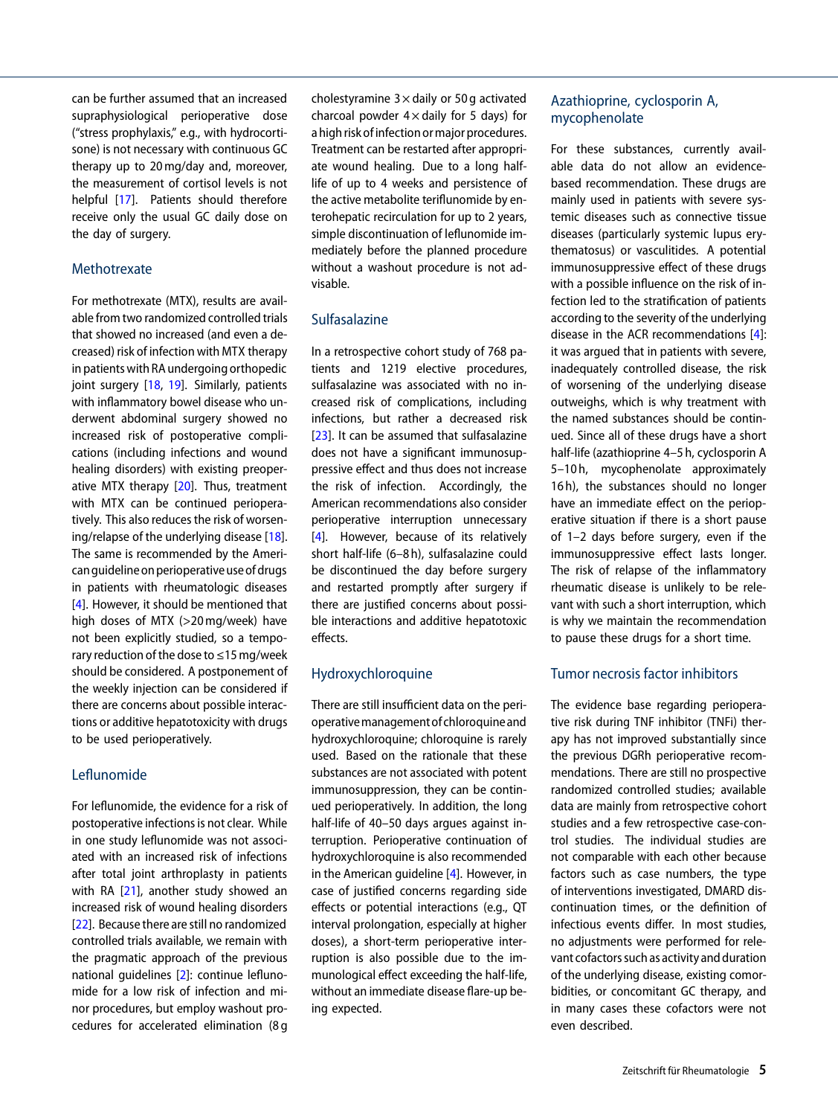can be further assumed that an increased supraphysiological perioperative dose ("stress prophylaxis," e.g., with hydrocortisone) is not necessary with continuous GC therapy up to 20 mg/day and, moreover, the measurement of cortisol levels is not helpful [\[17\]](#page-8-16). Patients should therefore receive only the usual GC daily dose on the day of surgery.

#### **Methotrexate**

For methotrexate (MTX), results are available from two randomized controlled trials that showed no increased (and even a decreased) risk of infection with MTX therapy in patients with RA undergoing orthopedic joint surgery [\[18,](#page-8-17) [19\]](#page-8-18). Similarly, patients with inflammatory bowel disease who underwent abdominal surgery showed no increased risk of postoperative complications (including infections and wound healing disorders) with existing preoperative MTX therapy [\[20\]](#page-9-0). Thus, treatment with MTX can be continued perioperatively. This also reduces the risk of worsening/relapse of the underlying disease [\[18\]](#page-8-17). The same is recommended by the American guidelineon perioperative useof drugs in patients with rheumatologic diseases [\[4\]](#page-8-3). However, it should be mentioned that high doses of MTX (>20 mg/week) have not been explicitly studied, so a temporary reduction of the dose to ≤15 mg/week should be considered. A postponement of the weekly injection can be considered if there are concerns about possible interactions or additive hepatotoxicity with drugs to be used perioperatively.

# Leflunomide

For leflunomide, the evidence for a risk of postoperative infections is not clear. While in one study leflunomide was not associated with an increased risk of infections after total joint arthroplasty in patients with RA [\[21\]](#page-9-1), another study showed an increased risk of wound healing disorders [\[22\]](#page-9-2). Because there are still no randomized controlled trials available, we remain with the pragmatic approach of the previous national guidelines [\[2\]](#page-8-1): continue leflunomide for a low risk of infection and minor procedures, but employ washout procedures for accelerated elimination (8 g

cholestyramine  $3 \times$  daily or 50 g activated charcoal powder  $4 \times$  daily for 5 days) for a high risk of infection or major procedures. Treatment can be restarted after appropriate wound healing. Due to a long halflife of up to 4 weeks and persistence of the active metabolite teriflunomide by enterohepatic recirculation for up to 2 years, simple discontinuation of leflunomide immediately before the planned procedure without a washout procedure is not advisable.

## Sulfasalazine

In a retrospective cohort study of 768 patients and 1219 elective procedures, sulfasalazine was associated with no increased risk of complications, including infections, but rather a decreased risk [\[23\]](#page-9-3). It can be assumed that sulfasalazine does not have a significant immunosuppressive effect and thus does not increase the risk of infection. Accordingly, the American recommendations also consider perioperative interruption unnecessary [\[4\]](#page-8-3). However, because of its relatively short half-life (6–8 h), sulfasalazine could be discontinued the day before surgery and restarted promptly after surgery if there are justified concerns about possible interactions and additive hepatotoxic effects.

## Hydroxychloroquine

There are still insufficient data on the perioperativemanagementof chloroquineand hydroxychloroquine; chloroquine is rarely used. Based on the rationale that these substances are not associated with potent immunosuppression, they can be continued perioperatively. In addition, the long half-life of 40–50 days argues against interruption. Perioperative continuation of hydroxychloroquine is also recommended in the American guideline [\[4\]](#page-8-3). However, in case of justified concerns regarding side effects or potential interactions (e.g., QT interval prolongation, especially at higher doses), a short-term perioperative interruption is also possible due to the immunological effect exceeding the half-life, without an immediate disease flare-up being expected.

## Azathioprine, cyclosporin A, mycophenolate

For these substances, currently available data do not allow an evidencebased recommendation. These drugs are mainly used in patients with severe systemic diseases such as connective tissue diseases (particularly systemic lupus erythematosus) or vasculitides. A potential immunosuppressive effect of these drugs with a possible influence on the risk of infection led to the stratification of patients according to the severity of the underlying disease in the ACR recommendations [\[4\]](#page-8-3): it was argued that in patients with severe, inadequately controlled disease, the risk of worsening of the underlying disease outweighs, which is why treatment with the named substances should be continued. Since all of these drugs have a short half-life (azathioprine 4–5 h, cyclosporin A 5–10 h, mycophenolate approximately 16 h), the substances should no longer have an immediate effect on the perioperative situation if there is a short pause of 1–2 days before surgery, even if the immunosuppressive effect lasts longer. The risk of relapse of the inflammatory rheumatic disease is unlikely to be relevant with such a short interruption, which is why we maintain the recommendation to pause these drugs for a short time.

#### Tumor necrosis factor inhibitors

The evidence base regarding perioperative risk during TNF inhibitor (TNFi) therapy has not improved substantially since the previous DGRh perioperative recommendations. There are still no prospective randomized controlled studies; available data are mainly from retrospective cohort studies and a few retrospective case-control studies. The individual studies are not comparable with each other because factors such as case numbers, the type of interventions investigated, DMARD discontinuation times, or the definition of infectious events differ. In most studies, no adjustments were performed for relevant cofactors such as activity and duration of the underlying disease, existing comorbidities, or concomitant GC therapy, and in many cases these cofactors were not even described.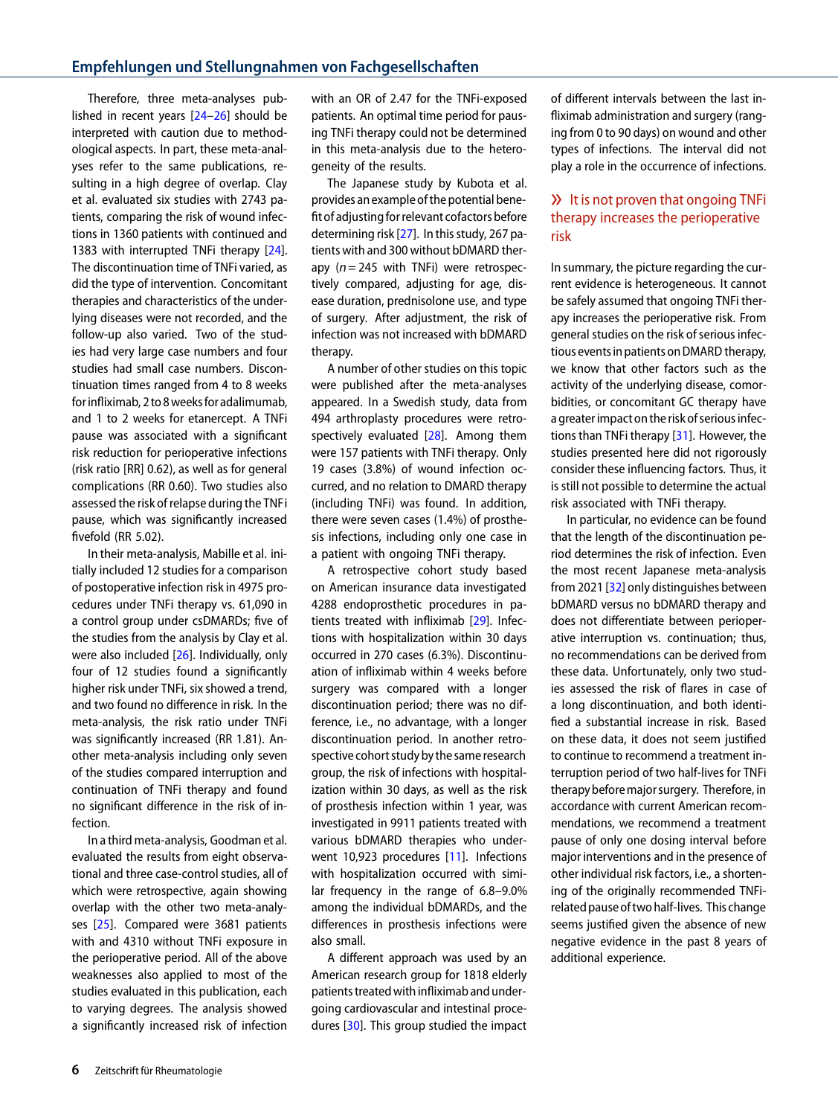Therefore, three meta-analyses published in recent years [\[24–](#page-9-4)[26\]](#page-9-5) should be interpreted with caution due to methodological aspects. In part, these meta-analyses refer to the same publications, resulting in a high degree of overlap. Clay et al. evaluated six studies with 2743 patients, comparing the risk of wound infections in 1360 patients with continued and 1383 with interrupted TNFi therapy [\[24\]](#page-9-4). The discontinuation time of TNFi varied, as did the type of intervention. Concomitant therapies and characteristics of the underlying diseases were not recorded, and the follow-up also varied. Two of the studies had very large case numbers and four studies had small case numbers. Discontinuation times ranged from 4 to 8 weeks for infliximab, 2 to 8weeksfor adalimumab, and 1 to 2 weeks for etanercept. A TNFi pause was associated with a significant risk reduction for perioperative infections (risk ratio [RR] 0.62), as well as for general complications (RR 0.60). Two studies also assessed the risk of relapse during the TNFi pause, which was significantly increased fivefold (RR 5.02).

In their meta-analysis, Mabille et al. initially included 12 studies for a comparison of postoperative infection risk in 4975 procedures under TNFi therapy vs. 61,090 in a control group under csDMARDs; five of the studies from the analysis by Clay et al. were also included [\[26\]](#page-9-5). Individually, only four of 12 studies found a significantly higher risk under TNFi, six showed a trend, and two found no difference in risk. In the meta-analysis, the risk ratio under TNFi was significantly increased (RR 1.81). Another meta-analysis including only seven of the studies compared interruption and continuation of TNFi therapy and found no significant difference in the risk of infection.

In a third meta-analysis, Goodman et al. evaluated the results from eight observational and three case-control studies, all of which were retrospective, again showing overlap with the other two meta-analyses [\[25\]](#page-9-6). Compared were 3681 patients with and 4310 without TNFi exposure in the perioperative period. All of the above weaknesses also applied to most of the studies evaluated in this publication, each to varying degrees. The analysis showed a significantly increased risk of infection

with an OR of 2.47 for the TNFi-exposed patients. An optimal time period for pausing TNFi therapy could not be determined in this meta-analysis due to the heterogeneity of the results.

The Japanese study by Kubota et al. provides an exampleof the potential benefit of adjusting for relevant cofactors before determining risk [\[27\]](#page-9-7). In this study, 267 patients with and 300 without bDMARD therapy ( $n = 245$  with TNFi) were retrospectively compared, adjusting for age, disease duration, prednisolone use, and type of surgery. After adjustment, the risk of infection was not increased with bDMARD therapy.

A number of other studies on this topic were published after the meta-analyses appeared. In a Swedish study, data from 494 arthroplasty procedures were retrospectively evaluated  $[28]$ . Among them were 157 patients with TNFi therapy. Only 19 cases (3.8%) of wound infection occurred, and no relation to DMARD therapy (including TNFi) was found. In addition, there were seven cases (1.4%) of prosthesis infections, including only one case in a patient with ongoing TNFi therapy.

A retrospective cohort study based on American insurance data investigated 4288 endoprosthetic procedures in patients treated with infliximab [\[29\]](#page-9-9). Infections with hospitalization within 30 days occurred in 270 cases (6.3%). Discontinuation of infliximab within 4 weeks before surgery was compared with a longer discontinuation period; there was no difference, i.e., no advantage, with a longer discontinuation period. In another retrospective cohort study by the same research group, the risk of infections with hospitalization within 30 days, as well as the risk of prosthesis infection within 1 year, was investigated in 9911 patients treated with various bDMARD therapies who underwent 10,923 procedures [\[11\]](#page-8-10). Infections with hospitalization occurred with similar frequency in the range of 6.8–9.0% among the individual bDMARDs, and the differences in prosthesis infections were also small.

A different approach was used by an American research group for 1818 elderly patients treatedwith infliximab and undergoing cardiovascular and intestinal procedures [\[30\]](#page-9-10). This group studied the impact of different intervals between the last infliximab administration and surgery (ranging from 0 to 90 days) on wound and other types of infections. The interval did not play a role in the occurrence of infections.

# » It is not proven that ongoing TNFi therapy increases the perioperative risk

In summary, the picture regarding the current evidence is heterogeneous. It cannot be safely assumed that ongoing TNFi therapy increases the perioperative risk. From general studies on the risk of serious infectious events in patients on DMARD therapy, we know that other factors such as the activity of the underlying disease, comorbidities, or concomitant GC therapy have a greater impacton the riskof serious infections than TNFi therapy [\[31\]](#page-9-11). However, the studies presented here did not rigorously consider these influencing factors. Thus, it is still not possible to determine the actual risk associated with TNFi therapy.

In particular, no evidence can be found that the length of the discontinuation period determines the risk of infection. Even the most recent Japanese meta-analysis from 2021 [\[32\]](#page-9-12) only distinguishes between bDMARD versus no bDMARD therapy and does not differentiate between perioperative interruption vs. continuation; thus, no recommendations can be derived from these data. Unfortunately, only two studies assessed the risk of flares in case of a long discontinuation, and both identified a substantial increase in risk. Based on these data, it does not seem justified to continue to recommend a treatment interruption period of two half-lives for TNFi therapy beforemajor surgery. Therefore, in accordance with current American recommendations, we recommend a treatment pause of only one dosing interval before major interventions and in the presence of other individual risk factors, i.e., a shortening of the originally recommended TNFirelated pause of two half-lives. This change seems justified given the absence of new negative evidence in the past 8 years of additional experience.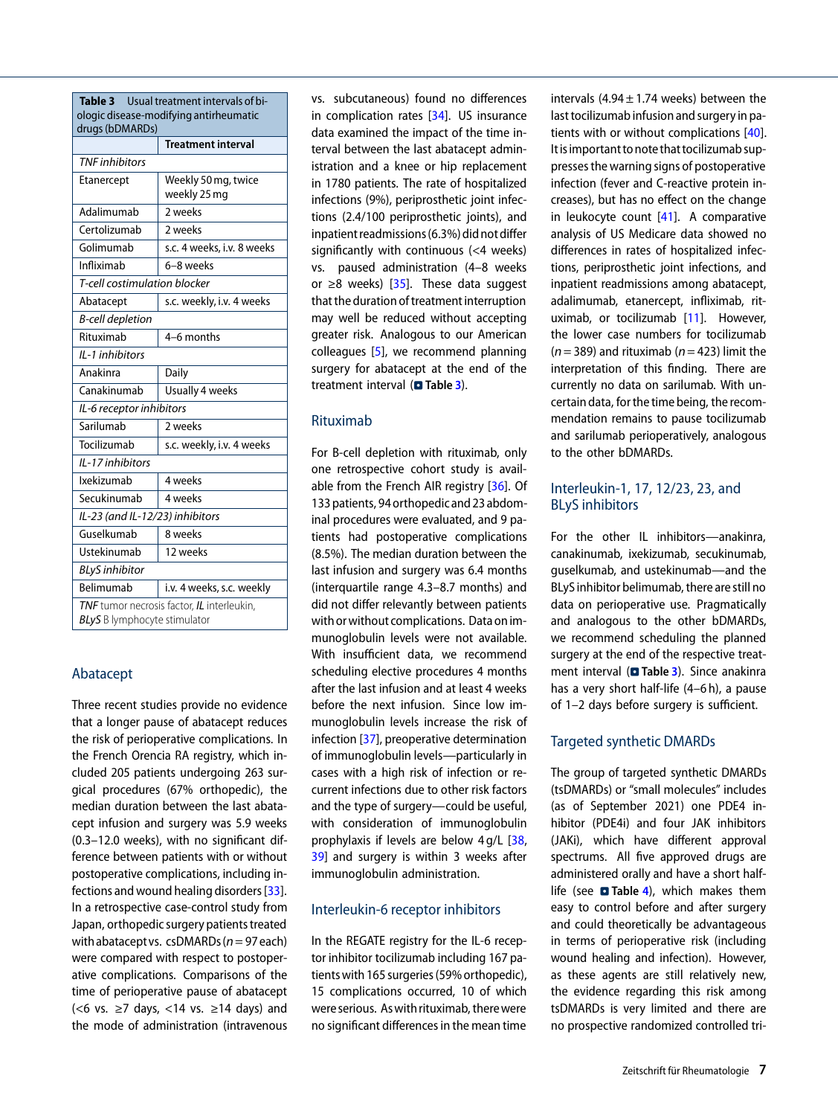<span id="page-6-0"></span>

| Usual treatment intervals of bi-<br>Table 3 |                            |  |  |  |
|---------------------------------------------|----------------------------|--|--|--|
| ologic disease-modifying antirheumatic      |                            |  |  |  |
| drugs (bDMARDs)                             | <b>Treatment interval</b>  |  |  |  |
| <b>TNF</b> inhibitors                       |                            |  |  |  |
| Weekly 50 mg, twice                         |                            |  |  |  |
| Etanercept                                  | weekly 25 mg               |  |  |  |
| Adalimumab                                  | 2 weeks                    |  |  |  |
| Certolizumab                                | 2 weeks                    |  |  |  |
| Golimumab                                   | s.c. 4 weeks, i.v. 8 weeks |  |  |  |
| Infliximab                                  | 6–8 weeks                  |  |  |  |
| T-cell costimulation blocker                |                            |  |  |  |
| Abatacept                                   | s.c. weekly, i.v. 4 weeks  |  |  |  |
| <b>B-cell depletion</b>                     |                            |  |  |  |
| Rituximab                                   | 4-6 months                 |  |  |  |
| II-1 inhibitors                             |                            |  |  |  |
| Anakinra                                    | Daily                      |  |  |  |
| Canakinumab                                 | Usually 4 weeks            |  |  |  |
| IL-6 receptor inhibitors                    |                            |  |  |  |
| Sarilumab                                   | 2 weeks                    |  |  |  |
| Tocilizumab                                 | s.c. weekly, i.v. 4 weeks  |  |  |  |
| IL-17 inhibitors                            |                            |  |  |  |
| Ixekizumab                                  | 4 weeks                    |  |  |  |
| Secukinumab                                 | 4 weeks                    |  |  |  |
| IL-23 (and IL-12/23) inhibitors             |                            |  |  |  |
| Guselkumab                                  | 8 weeks                    |  |  |  |
| Ustekinumab                                 | 12 weeks                   |  |  |  |
| <b>BLyS</b> inhibitor                       |                            |  |  |  |
| Belimumab                                   | i.v. 4 weeks, s.c. weekly  |  |  |  |
| TNF tumor necrosis factor, IL interleukin,  |                            |  |  |  |
| <b>BLyS</b> B lymphocyte stimulator         |                            |  |  |  |

## Abatacept

Three recent studies provide no evidence that a longer pause of abatacept reduces the risk of perioperative complications. In the French Orencia RA registry, which included 205 patients undergoing 263 surgical procedures (67% orthopedic), the median duration between the last abatacept infusion and surgery was 5.9 weeks (0.3–12.0 weeks), with no significant difference between patients with or without postoperative complications, including infections and wound healing disorders [\[33\]](#page-9-13). In a retrospective case-control study from Japan, orthopedic surgery patients treated with abatacept vs. csDMARDs ( $n = 97$  each) were compared with respect to postoperative complications. Comparisons of the time of perioperative pause of abatacept (<6 vs.  $≥7$  days, <14 vs.  $≥14$  days) and the mode of administration (intravenous

vs. subcutaneous) found no differences in complication rates [\[34\]](#page-9-14). US insurance data examined the impact of the time interval between the last abatacept administration and a knee or hip replacement in 1780 patients. The rate of hospitalized infections (9%), periprosthetic joint infections (2.4/100 periprosthetic joints), and inpatient readmissions(6.3%) did not differ significantly with continuous (<4 weeks) vs. paused administration (4–8 weeks or  $\geq$ 8 weeks) [\[35\]](#page-9-15). These data suggest that the duration of treatment interruption may well be reduced without accepting greater risk. Analogous to our American colleagues [\[5\]](#page-8-4), we recommend planning surgery for abatacept at the end of the treatment interval (**D** Table [3](#page-6-0)).

#### Rituximab

For B-cell depletion with rituximab, only one retrospective cohort study is available from the French AIR registry [\[36\]](#page-9-16). Of 133 patients, 94 orthopedic and 23 abdominal procedures were evaluated, and 9 patients had postoperative complications (8.5%). The median duration between the last infusion and surgery was 6.4 months (interquartile range 4.3–8.7 months) and did not differ relevantly between patients with or without complications. Data on immunoglobulin levels were not available. With insufficient data, we recommend scheduling elective procedures 4 months after the last infusion and at least 4 weeks before the next infusion. Since low immunoglobulin levels increase the risk of infection [\[37\]](#page-9-17), preoperative determination of immunoglobulin levels—particularly in cases with a high risk of infection or recurrent infections due to other risk factors and the type of surgery—could be useful, with consideration of immunoglobulin prophylaxis if levels are below 4 g/L [\[38,](#page-9-18) [39\]](#page-9-19) and surgery is within 3 weeks after immunoglobulin administration.

#### Interleukin-6 receptor inhibitors

In the REGATE registry for the IL-6 receptor inhibitor tocilizumab including 167 patientswith 165 surgeries(59%orthopedic), 15 complications occurred, 10 of which were serious. Aswith rituximab, therewere no significant differences in the mean time

intervals  $(4.94 \pm 1.74$  weeks) between the last tocilizumab infusion and surgery in patients with or without complications [\[40\]](#page-9-20). Itis important to note that tocilizumab suppresses the warning signs of postoperative infection (fever and C-reactive protein increases), but has no effect on the change in leukocyte count [\[41\]](#page-9-21). A comparative analysis of US Medicare data showed no differences in rates of hospitalized infections, periprosthetic joint infections, and inpatient readmissions among abatacept, adalimumab, etanercept, infliximab, rituximab, or tocilizumab [\[11\]](#page-8-10). However, the lower case numbers for tocilizumab  $(n= 389)$  and rituximab ( $n= 423$ ) limit the interpretation of this finding. There are currently no data on sarilumab. With uncertain data, for the time being, the recommendation remains to pause tocilizumab and sarilumab perioperatively, analogous to the other bDMARDs.

#### Interleukin-1, 17, 12/23, 23, and BLyS inhibitors

For the other IL inhibitors—anakinra, canakinumab, ixekizumab, secukinumab, guselkumab, and ustekinumab—and the BLyS inhibitor belimumab, there are still no data on perioperative use. Pragmatically and analogous to the other bDMARDs, we recommend scheduling the planned surgery at the end of the respective treatment interval (**a** Table [3](#page-6-0)). Since anakinra has a very short half-life (4–6 h), a pause of 1–2 days before surgery is sufficient.

#### Targeted synthetic DMARDs

The group of targeted synthetic DMARDs (tsDMARDs) or "small molecules" includes (as of September 2021) one PDE4 inhibitor (PDE4i) and four JAK inhibitors (JAKi), which have different approval spectrums. All five approved drugs are administered orally and have a short halflife (see **a** Table [4](#page-7-0)), which makes them easy to control before and after surgery and could theoretically be advantageous in terms of perioperative risk (including wound healing and infection). However, as these agents are still relatively new, the evidence regarding this risk among tsDMARDs is very limited and there are no prospective randomized controlled tri-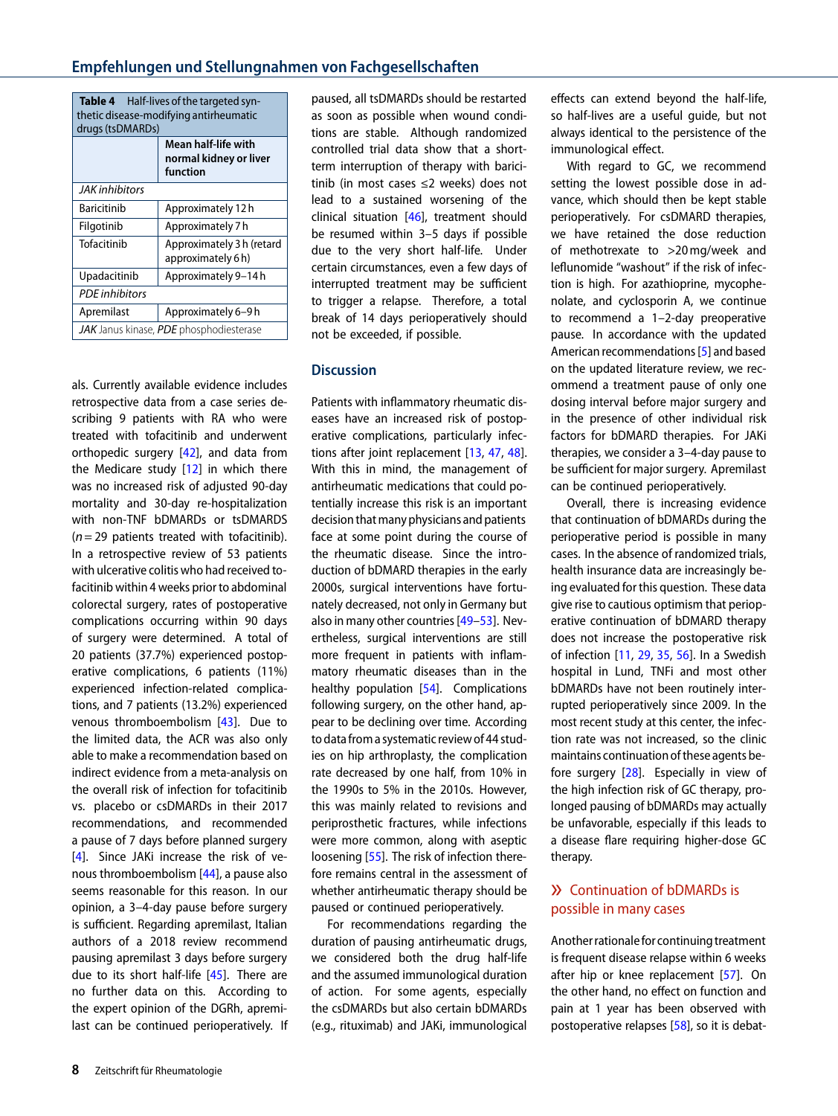<span id="page-7-0"></span>

| <b>Table 4</b> Half-lives of the targeted syn-<br>thetic disease-modifying antirheumatic<br>drugs (tsDMARDs) |                                                           |  |  |
|--------------------------------------------------------------------------------------------------------------|-----------------------------------------------------------|--|--|
|                                                                                                              | Mean half-life with<br>normal kidney or liver<br>function |  |  |
| <b>JAK</b> inhibitors                                                                                        |                                                           |  |  |
| <b>Baricitinib</b>                                                                                           | Approximately 12 h                                        |  |  |
| Filgotinib                                                                                                   | Approximately 7 h                                         |  |  |
| Tofacitinib                                                                                                  | Approximately 3 h (retard<br>approximately 6h)            |  |  |
| Upadacitinib                                                                                                 | Approximately 9-14h                                       |  |  |
| <b>PDF</b> inhibitors                                                                                        |                                                           |  |  |
| Apremilast                                                                                                   | Approximately 6-9 h                                       |  |  |
| <b>JAK</b> Janus kinase, PDE phosphodiesterase                                                               |                                                           |  |  |

als. Currently available evidence includes retrospective data from a case series describing 9 patients with RA who were treated with tofacitinib and underwent orthopedic surgery [\[42\]](#page-9-22), and data from the Medicare study  $[12]$  in which there was no increased risk of adjusted 90-day mortality and 30-day re-hospitalization with non-TNF bDMARDs or tsDMARDS  $(n= 29$  patients treated with tofacitinib). In a retrospective review of 53 patients with ulcerative colitis who had received tofacitinib within 4 weeks prior to abdominal colorectal surgery, rates of postoperative complications occurring within 90 days of surgery were determined. A total of 20 patients (37.7%) experienced postoperative complications, 6 patients (11%) experienced infection-related complications, and 7 patients (13.2%) experienced venous thromboembolism [\[43\]](#page-9-23). Due to the limited data, the ACR was also only able to make a recommendation based on indirect evidence from a meta-analysis on the overall risk of infection for tofacitinib vs. placebo or csDMARDs in their 2017 recommendations, and recommended a pause of 7 days before planned surgery [\[4\]](#page-8-3). Since JAKi increase the risk of venous thromboembolism [\[44\]](#page-9-24), a pause also seems reasonable for this reason. In our opinion, a 3–4-day pause before surgery is sufficient. Regarding apremilast, Italian authors of a 2018 review recommend pausing apremilast 3 days before surgery due to its short half-life [\[45\]](#page-9-25). There are no further data on this. According to the expert opinion of the DGRh, apremilast can be continued perioperatively. If paused, all tsDMARDs should be restarted as soon as possible when wound conditions are stable. Although randomized controlled trial data show that a shortterm interruption of therapy with baricitinib (in most cases ≤2 weeks) does not lead to a sustained worsening of the clinical situation [\[46\]](#page-9-26), treatment should be resumed within 3–5 days if possible due to the very short half-life. Under certain circumstances, even a few days of interrupted treatment may be sufficient to trigger a relapse. Therefore, a total break of 14 days perioperatively should not be exceeded, if possible.

### **Discussion**

Patients with inflammatory rheumatic diseases have an increased risk of postoperative complications, particularly infections after joint replacement [\[13,](#page-8-15) [47,](#page-9-27) [48\]](#page-9-28). With this in mind, the management of antirheumatic medications that could potentially increase this risk is an important decision that many physicians and patients face at some point during the course of the rheumatic disease. Since the introduction of bDMARD therapies in the early 2000s, surgical interventions have fortunately decreased, not only in Germany but also in many other countries [49-[53\]](#page-10-1). Nevertheless, surgical interventions are still more frequent in patients with inflammatory rheumatic diseases than in the healthy population [\[54\]](#page-10-2). Complications following surgery, on the other hand, appear to be declining over time. According to data from a systematic review of 44 studies on hip arthroplasty, the complication rate decreased by one half, from 10% in the 1990s to 5% in the 2010s. However, this was mainly related to revisions and periprosthetic fractures, while infections were more common, along with aseptic loosening [\[55\]](#page-10-3). The risk of infection therefore remains central in the assessment of whether antirheumatic therapy should be paused or continued perioperatively.

For recommendations regarding the duration of pausing antirheumatic drugs, we considered both the drug half-life and the assumed immunological duration of action. For some agents, especially the csDMARDs but also certain bDMARDs (e.g., rituximab) and JAKi, immunological

effects can extend beyond the half-life, so half-lives are a useful guide, but not always identical to the persistence of the immunological effect.

With regard to GC, we recommend setting the lowest possible dose in advance, which should then be kept stable perioperatively. For csDMARD therapies, we have retained the dose reduction of methotrexate to >20 mg/week and leflunomide "washout" if the risk of infection is high. For azathioprine, mycophenolate, and cyclosporin A, we continue to recommend a 1–2-day preoperative pause. In accordance with the updated American recommendations [\[5\]](#page-8-4) and based on the updated literature review, we recommend a treatment pause of only one dosing interval before major surgery and in the presence of other individual risk factors for bDMARD therapies. For JAKi therapies, we consider a 3–4-day pause to be sufficient for major surgery. Apremilast can be continued perioperatively.

Overall, there is increasing evidence that continuation of bDMARDs during the perioperative period is possible in many cases. In the absence of randomized trials, health insurance data are increasingly being evaluated for this question. These data give rise to cautious optimism that perioperative continuation of bDMARD therapy does not increase the postoperative risk of infection [\[11,](#page-8-10) [29,](#page-9-9) [35,](#page-9-15) [56\]](#page-10-4). In a Swedish hospital in Lund, TNFi and most other bDMARDs have not been routinely interrupted perioperatively since 2009. In the most recent study at this center, the infection rate was not increased, so the clinic maintains continuationof these agents before surgery [\[28\]](#page-9-8). Especially in view of the high infection risk of GC therapy, prolonged pausing of bDMARDs may actually be unfavorable, especially if this leads to a disease flare requiring higher-dose GC therapy.

# » Continuation of bDMARDs is possible in many cases

Another rationale for continuing treatment is frequent disease relapse within 6 weeks after hip or knee replacement [\[57\]](#page-10-5). On the other hand, no effect on function and pain at 1 year has been observed with postoperative relapses [\[58\]](#page-10-6), so it is debat-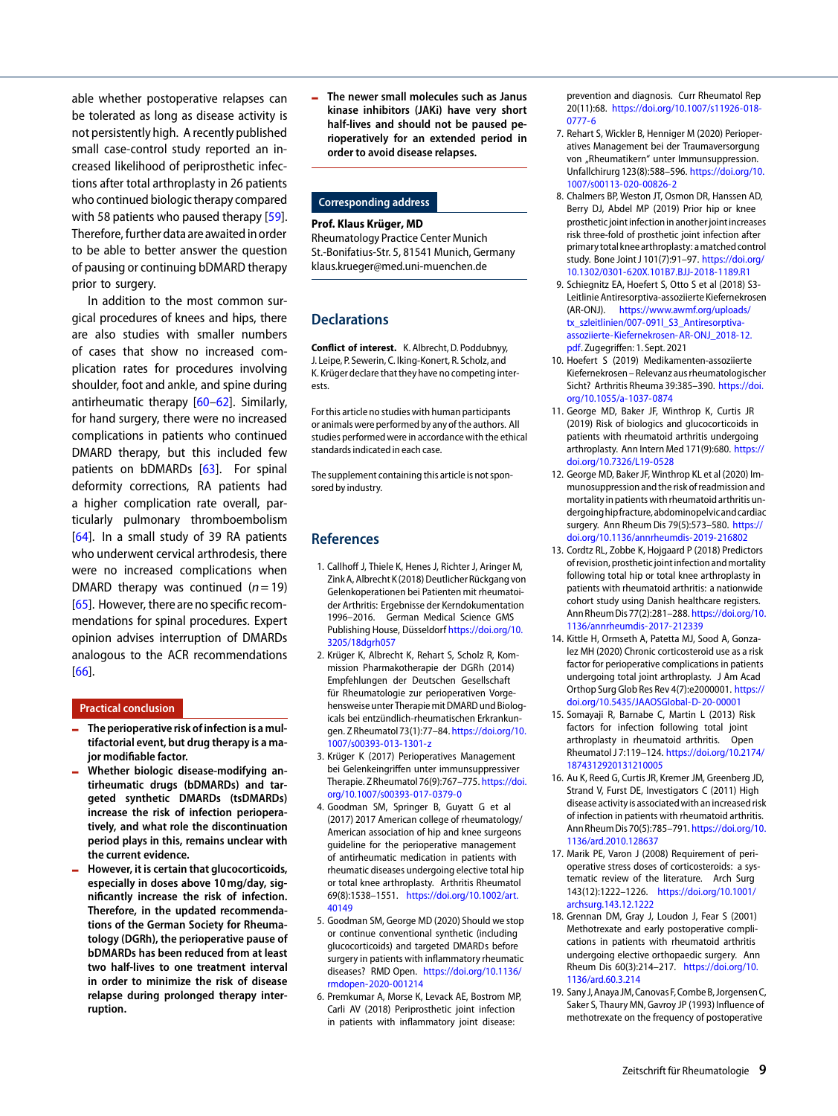able whether postoperative relapses can be tolerated as long as disease activity is not persistently high. A recently published small case-control study reported an increased likelihood of periprosthetic infections after total arthroplasty in 26 patients who continued biologic therapy compared with 58 patients who paused therapy [\[59\]](#page-10-7). Therefore, further data are awaited inorder to be able to better answer the question of pausing or continuing bDMARD therapy prior to surgery.

In addition to the most common surgical procedures of knees and hips, there are also studies with smaller numbers of cases that show no increased complication rates for procedures involving shoulder, foot and ankle, and spine during antirheumatic therapy [\[60–](#page-10-8)[62\]](#page-10-9). Similarly, for hand surgery, there were no increased complications in patients who continued DMARD therapy, but this included few patients on bDMARDs [\[63\]](#page-10-10). For spinal deformity corrections, RA patients had a higher complication rate overall, particularly pulmonary thromboembolism [\[64\]](#page-10-11). In a small study of 39 RA patients who underwent cervical arthrodesis, there were no increased complications when DMARD therapy was continued  $(n=19)$ [\[65\]](#page-10-12). However, there are no specific recommendations for spinal procedures. Expert opinion advises interruption of DMARDs analogous to the ACR recommendations [\[66\]](#page-10-13).

#### **Practical conclusion**

- <sup>4</sup> **The perioperative risk of infection is a multifactorial event, but drug therapy is a major modifiable factor.**
- <sup>4</sup> **Whether biologic disease-modifying antirheumatic drugs (bDMARDs) and targeted synthetic DMARDs (tsDMARDs) increase the risk of infection perioperatively, and what role the discontinuation period plays in this, remains unclear with the current evidence.**
- <sup>4</sup> **However, it is certain that glucocorticoids, especially in doses above 10mg/day, significantly increase the risk of infection. Therefore, in the updated recommendations of the German Society for Rheumatology (DGRh), the perioperative pause of bDMARDs has been reduced from at least two half-lives to one treatment interval in order to minimize the risk of disease relapse during prolonged therapy interruption.**

<sup>4</sup> **The newer small molecules such as Janus kinase inhibitors (JAKi) have very short half-lives and should not be paused perioperatively for an extended period in order to avoid disease relapses.**

#### **Corresponding address**

#### **Prof. Klaus Krüger, MD**

Rheumatology Practice Center Munich St.-Bonifatius-Str. 5, 81541 Munich, Germany klaus.krueger@med.uni-muenchen.de

#### **Declarations**

**Conflict of interest.** K. Albrecht, D. Poddubnyy, J. Leipe, P. Sewerin, C. Iking-Konert, R. Scholz, and K. Krüger declare that they have no competing interests.

For this article no studies with human participants or animals were performed by any of the authors. All studies performed were in accordance with the ethical standards indicated in each case.

The supplement containing this article is not sponsored by industry.

#### **References**

- <span id="page-8-0"></span>1. Callhoff J, Thiele K, Henes J, Richter J, Aringer M, Zink A, Albrecht K(2018) Deutlicher Rückgang von Gelenkoperationen bei Patienten mit rheumatoider Arthritis: Ergebnisse der Kerndokumentation 1996–2016. German Medical Science GMS Publishing House, Düsseldorf [https://doi.org/10.](https://doi.org/10.3205/18dgrh057) [3205/18dgrh057](https://doi.org/10.3205/18dgrh057)
- <span id="page-8-1"></span>2. Krüger K, Albrecht K, Rehart S, Scholz R, Kommission Pharmakotherapie der DGRh (2014) Empfehlungen der Deutschen Gesellschaft für Rheumatologie zur perioperativen Vorgehensweise unter Therapie mit DMARD und Biologicals bei entzündlich-rheumatischen Erkrankungen. Z Rheumatol73(1):77–84. [https://doi.org/10.](https://doi.org/10.1007/s00393-013-1301-z) [1007/s00393-013-1301-z](https://doi.org/10.1007/s00393-013-1301-z)
- <span id="page-8-2"></span>3. Krüger K (2017) Perioperatives Management bei Gelenkeingriffen unter immunsuppressiver Therapie. Z Rheumatol 76(9):767-775. [https://doi.](https://doi.org/10.1007/s00393-017-0379-0) [org/10.1007/s00393-017-0379-0](https://doi.org/10.1007/s00393-017-0379-0)
- <span id="page-8-3"></span>4. Goodman SM, Springer B, Guyatt G et al (2017) 2017 American college of rheumatology/ American association of hip and knee surgeons guideline for the perioperative management of antirheumatic medication in patients with rheumatic diseases undergoing elective total hip or total knee arthroplasty. Arthritis Rheumatol 69(8):1538–1551. [https://doi.org/10.1002/art.](https://doi.org/10.1002/art.40149) [40149](https://doi.org/10.1002/art.40149)
- <span id="page-8-4"></span>5. Goodman SM, George MD (2020) Should we stop or continue conventional synthetic (including glucocorticoids) and targeted DMARDs before surgery in patients with inflammatory rheumatic diseases? RMD Open. [https://doi.org/10.1136/](https://doi.org/10.1136/rmdopen-2020-001214) [rmdopen-2020-001214](https://doi.org/10.1136/rmdopen-2020-001214)
- <span id="page-8-5"></span>6. Premkumar A, Morse K, Levack AE, Bostrom MP, Carli AV (2018) Periprosthetic joint infection in patients with inflammatory joint disease:

prevention and diagnosis. Curr Rheumatol Rep 20(11):68. [https://doi.org/10.1007/s11926-018-](https://doi.org/10.1007/s11926-018-0777-6) [0777-6](https://doi.org/10.1007/s11926-018-0777-6)

- <span id="page-8-6"></span>7. Rehart S, Wickler B, Henniger M (2020) Perioperatives Management bei der Traumaversorgung von "Rheumatikern" unter Immunsuppression. Unfallchirurg 123(8):588–596. [https://doi.org/10.](https://doi.org/10.1007/s00113-020-00826-2) [1007/s00113-020-00826-2](https://doi.org/10.1007/s00113-020-00826-2)
- <span id="page-8-7"></span>8. Chalmers BP, Weston JT, Osmon DR, Hanssen AD, Berry DJ, Abdel MP (2019) Prior hip or knee prosthetic joint infection in another joint increases risk three-fold of prosthetic joint infection after primary total knee arthroplasty: amatched control study. Bone Joint J 101(7):91–97. [https://doi.org/](https://doi.org/10.1302/0301-620X.101B7.BJJ-2018-1189.R1) [10.1302/0301-620X.101B7.BJJ-2018-1189.R1](https://doi.org/10.1302/0301-620X.101B7.BJJ-2018-1189.R1)
- <span id="page-8-8"></span>9. Schiegnitz EA, Hoefert S, Otto S et al (2018) S3- Leitlinie Antiresorptiva-assoziierte Kiefernekrosen (AR-ONJ). [https://www.awmf.org/uploads/](https://www.awmf.org/uploads/tx_szleitlinien/007-091l_S3_Antiresorptiva-assoziierte-Kiefernekrosen-AR-ONJ_2018-12.pdf) [tx\\_szleitlinien/007-091l\\_S3\\_Antiresorptiva](https://www.awmf.org/uploads/tx_szleitlinien/007-091l_S3_Antiresorptiva-assoziierte-Kiefernekrosen-AR-ONJ_2018-12.pdf)[assoziierte-Kiefernekrosen-AR-ONJ\\_2018-12.](https://www.awmf.org/uploads/tx_szleitlinien/007-091l_S3_Antiresorptiva-assoziierte-Kiefernekrosen-AR-ONJ_2018-12.pdf) [pdf.](https://www.awmf.org/uploads/tx_szleitlinien/007-091l_S3_Antiresorptiva-assoziierte-Kiefernekrosen-AR-ONJ_2018-12.pdf) Zugegriffen: 1. Sept. 2021
- <span id="page-8-9"></span>10. Hoefert S (2019) Medikamenten-assoziierte Kiefernekrosen – Relevanz aus rheumatologischer Sicht? Arthritis Rheuma 39:385–390. [https://doi.](https://doi.org/10.1055/a-1037-0874) [org/10.1055/a-1037-0874](https://doi.org/10.1055/a-1037-0874)
- <span id="page-8-10"></span>11. George MD, Baker JF, Winthrop K, Curtis JR (2019) Risk of biologics and glucocorticoids in patients with rheumatoid arthritis undergoing arthroplasty. Ann Intern Med 171(9):680. [https://](https://doi.org/10.7326/L19-0528) [doi.org/10.7326/L19-0528](https://doi.org/10.7326/L19-0528)
- <span id="page-8-14"></span>12. George MD, Baker JF, Winthrop KL et al (2020) Immunosuppression and the risk of readmission and mortality in patientswith rheumatoid arthritis undergoinghipfracture,abdominopelvicandcardiac surgery. Ann Rheum Dis 79(5):573–580. [https://](https://doi.org/10.1136/annrheumdis-2019-216802) [doi.org/10.1136/annrheumdis-2019-216802](https://doi.org/10.1136/annrheumdis-2019-216802)
- <span id="page-8-15"></span>13. Cordtz RL, Zobbe K, Hojgaard P (2018) Predictors of revision, prosthetic joint infection andmortality following total hip or total knee arthroplasty in patients with rheumatoid arthritis: a nationwide cohort study using Danish healthcare registers. Ann RheumDis77(2):281–288. [https://doi.org/10.](https://doi.org/10.1136/annrheumdis-2017-212339) [1136/annrheumdis-2017-212339](https://doi.org/10.1136/annrheumdis-2017-212339)
- <span id="page-8-11"></span>14. Kittle H, Ormseth A, Patetta MJ, Sood A, Gonzalez MH (2020) Chronic corticosteroid use as a risk factor for perioperative complications in patients undergoing total joint arthroplasty. J Am Acad Orthop Surg Glob Res Rev 4(7):e2000001. [https://](https://doi.org/10.5435/JAAOSGlobal-D-20-00001) [doi.org/10.5435/JAAOSGlobal-D-20-00001](https://doi.org/10.5435/JAAOSGlobal-D-20-00001)
- <span id="page-8-12"></span>15. Somayaji R, Barnabe C, Martin L (2013) Risk factors for infection following total joint arthroplasty in rheumatoid arthritis. Open Rheumatol J 7:119–124. [https://doi.org/10.2174/](https://doi.org/10.2174/1874312920131210005) [1874312920131210005](https://doi.org/10.2174/1874312920131210005)
- <span id="page-8-13"></span>16. Au K, Reed G, Curtis JR, Kremer JM, Greenberg JD, Strand V, Furst DE, Investigators C (2011) High disease activity is associatedwith an increased risk of infection in patients with rheumatoid arthritis. Ann RheumDis70(5):785–791. [https://doi.org/10.](https://doi.org/10.1136/ard.2010.128637) [1136/ard.2010.128637](https://doi.org/10.1136/ard.2010.128637)
- <span id="page-8-16"></span>17. Marik PE, Varon J (2008) Requirement of perioperative stress doses of corticosteroids: a systematic review of the literature. Arch Surg 143(12):1222–1226. [https://doi.org/10.1001/](https://doi.org/10.1001/archsurg.143.12.1222) [archsurg.143.12.1222](https://doi.org/10.1001/archsurg.143.12.1222)
- <span id="page-8-17"></span>18. Grennan DM, Gray J, Loudon J, Fear S (2001) Methotrexate and early postoperative complications in patients with rheumatoid arthritis undergoing elective orthopaedic surgery. Ann Rheum Dis 60(3):214–217. [https://doi.org/10.](https://doi.org/10.1136/ard.60.3.214) [1136/ard.60.3.214](https://doi.org/10.1136/ard.60.3.214)
- <span id="page-8-18"></span>19. Sany J, Anaya JM, Canovas F, Combe B, Jorgensen C, Saker S, Thaury MN, Gavroy JP (1993) Influence of methotrexate on the frequency of postoperative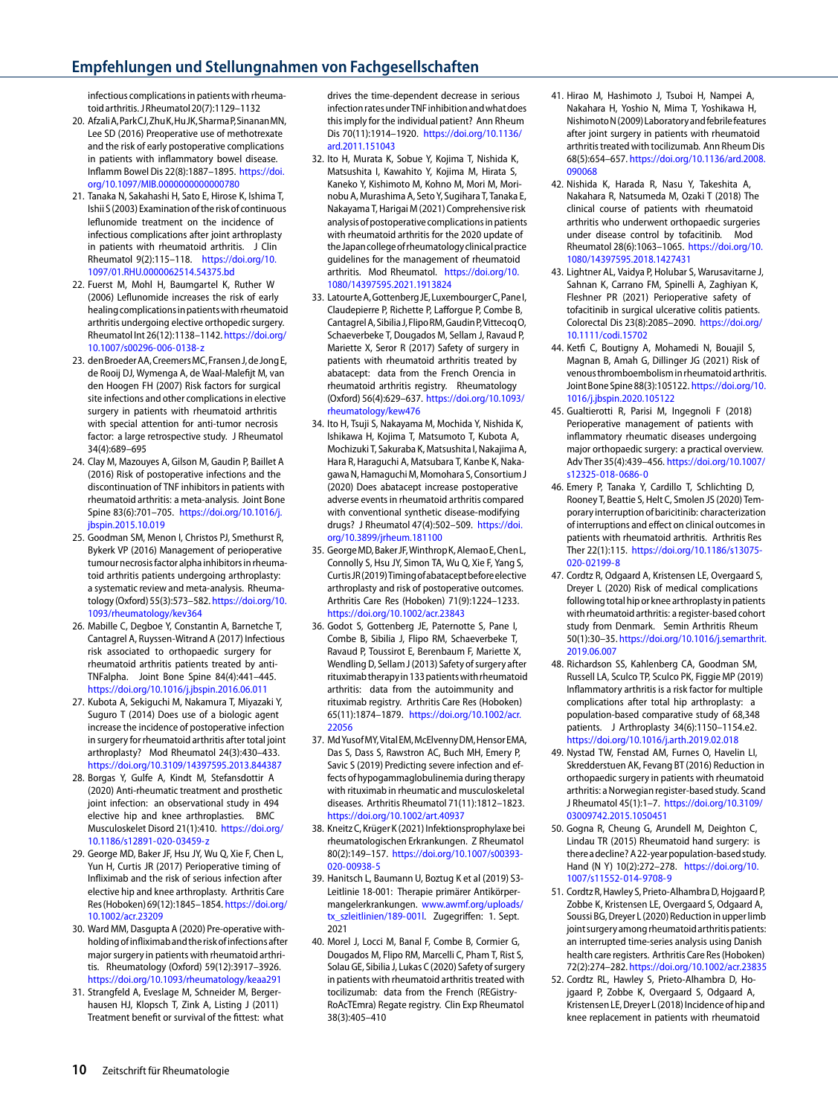# **Empfehlungen und Stellungnahmen von Fachgesellschaften**

infectious complications in patients with rheumatoidarthritis. J Rheumatol20(7):1129–1132

- <span id="page-9-0"></span>20. AfzaliA,ParkCJ,ZhuK,HuJK,SharmaP,SinananMN, Lee SD (2016) Preoperative use of methotrexate and the risk of early postoperative complications in patients with inflammatory bowel disease. Inflamm Bowel Dis 22(8):1887–1895. [https://doi.](https://doi.org/10.1097/MIB.0000000000000780) [org/10.1097/MIB.0000000000000780](https://doi.org/10.1097/MIB.0000000000000780)
- <span id="page-9-1"></span>21. Tanaka N, Sakahashi H, Sato E, Hirose K, Ishima T, Ishii S(2003) Examination of the risk of continuous leflunomide treatment on the incidence of infectious complications after joint arthroplasty in patients with rheumatoid arthritis. J Clin Rheumatol 9(2):115–118. [https://doi.org/10.](https://doi.org/10.1097/01.RHU.0000062514.54375.bd) [1097/01.RHU.0000062514.54375.bd](https://doi.org/10.1097/01.RHU.0000062514.54375.bd)
- <span id="page-9-2"></span>22. Fuerst M, Mohl H, Baumgartel K, Ruther W (2006) Leflunomide increases the risk of early healing complications in patientswith rheumatoid arthritis undergoing elective orthopedic surgery. Rheumatol Int 26(12):1138–1142. [https://doi.org/](https://doi.org/10.1007/s00296-006-0138-z) [10.1007/s00296-006-0138-z](https://doi.org/10.1007/s00296-006-0138-z)
- <span id="page-9-3"></span>23. denBroederAA,CreemersMC,Fransen J,de JongE, de Rooij DJ, Wymenga A, de Waal-Malefijt M, van den Hoogen FH (2007) Risk factors for surgical site infections and other complications in elective surgery in patients with rheumatoid arthritis with special attention for anti-tumor necrosis factor: a large retrospective study. J Rheumatol 34(4):689–695
- <span id="page-9-4"></span>24. Clay M, Mazouyes A, Gilson M, Gaudin P, Baillet A (2016) Risk of postoperative infections and the discontinuation of TNF inhibitors in patients with rheumatoid arthritis: a meta-analysis. Joint Bone Spine 83(6):701–705. [https://doi.org/10.1016/j.](https://doi.org/10.1016/j.jbspin.2015.10.019) [jbspin.2015.10.019](https://doi.org/10.1016/j.jbspin.2015.10.019)
- <span id="page-9-6"></span>25. Goodman SM, Menon I, Christos PJ, Smethurst R, Bykerk VP (2016) Management of perioperative tumour necrosisfactor alpha inhibitors in rheumatoid arthritis patients undergoing arthroplasty: a systematic review and meta-analysis. Rheumatology(Oxford) 55(3):573–582. [https://doi.org/10.](https://doi.org/10.1093/rheumatology/kev364) [1093/rheumatology/kev364](https://doi.org/10.1093/rheumatology/kev364)
- <span id="page-9-5"></span>26. Mabille C, Degboe Y, Constantin A, Barnetche T, Cantagrel A, Ruyssen-Witrand A (2017) Infectious risk associated to orthopaedic surgery for rheumatoid arthritis patients treated by anti-TNFalpha. Joint Bone Spine 84(4):441–445. <https://doi.org/10.1016/j.jbspin.2016.06.011>
- <span id="page-9-7"></span>27. Kubota A, Sekiguchi M, Nakamura T, Miyazaki Y, Suguro T (2014) Does use of a biologic agent increase the incidence of postoperative infection in surgery for rheumatoid arthritis after total joint arthroplasty? Mod Rheumatol 24(3):430–433. <https://doi.org/10.3109/14397595.2013.844387>
- <span id="page-9-8"></span>28. Borgas Y, Gulfe A, Kindt M, Stefansdottir A (2020) Anti-rheumatic treatment and prosthetic joint infection: an observational study in 494 elective hip and knee arthroplasties. BMC Musculoskelet Disord 21(1):410. [https://doi.org/](https://doi.org/10.1186/s12891-020-03459-z) [10.1186/s12891-020-03459-z](https://doi.org/10.1186/s12891-020-03459-z)
- <span id="page-9-9"></span>29. George MD, Baker JF, Hsu JY, Wu Q, Xie F, Chen L, Yun H, Curtis JR (2017) Perioperative timing of Infliximab and the risk of serious infection after elective hip and knee arthroplasty. Arthritis Care Res(Hoboken)69(12):1845–1854. [https://doi.org/](https://doi.org/10.1002/acr.23209) [10.1002/acr.23209](https://doi.org/10.1002/acr.23209)
- <span id="page-9-10"></span>30. Ward MM, Dasgupta A (2020) Pre-operative withholdingof infliximaband the riskof infections after major surgery in patients with rheumatoid arthritis. Rheumatology (Oxford) 59(12):3917–3926. <https://doi.org/10.1093/rheumatology/keaa291>
- <span id="page-9-11"></span>31. Strangfeld A, Eveslage M, Schneider M, Bergerhausen HJ, Klopsch T, Zink A, Listing J (2011) Treatment benefit or survival of the fittest: what

drives the time-dependent decrease in serious infection rates underTNFinhibition andwhat does this imply for the individual patient? Ann Rheum Dis 70(11):1914–1920. [https://doi.org/10.1136/](https://doi.org/10.1136/ard.2011.151043) [ard.2011.151043](https://doi.org/10.1136/ard.2011.151043)

- <span id="page-9-12"></span>32. Ito H, Murata K, Sobue Y, Kojima T, Nishida K, Matsushita I, Kawahito Y, Kojima M, Hirata S, Kaneko Y, Kishimoto M, Kohno M, Mori M, Morinobu A, Murashima A, Seto Y, Sugihara T, Tanaka E, Nakayama T, Harigai M(2021) Comprehensive risk analysisof postoperative complications in patients with rheumatoid arthritis for the 2020 update of the Japancollegeof rheumatologyclinicalpractice guidelines for the management of rheumatoid arthritis. Mod Rheumatol. [https://doi.org/10.](https://doi.org/10.1080/14397595.2021.1913824) [1080/14397595.2021.1913824](https://doi.org/10.1080/14397595.2021.1913824)
- <span id="page-9-13"></span>33. Latourte A, Gottenberg JE, Luxembourger C, Pane I, Claudepierre P, Richette P, Lafforgue P, Combe B, CantagrelA,Sibilia J,FlipoRM,GaudinP,VittecoqO, Schaeverbeke T, Dougados M, Sellam J, Ravaud P, Mariette X, Seror R (2017) Safety of surgery in patients with rheumatoid arthritis treated by abatacept: data from the French Orencia in rheumatoid arthritis registry. Rheumatology (Oxford) 56(4):629–637. [https://doi.org/10.1093/](https://doi.org/10.1093/rheumatology/kew476) [rheumatology/kew476](https://doi.org/10.1093/rheumatology/kew476)
- <span id="page-9-14"></span>34. Ito H, Tsuji S, Nakayama M, Mochida Y, Nishida K, Ishikawa H, Kojima T, Matsumoto T, Kubota A, Mochizuki T, Sakuraba K, Matsushita I, Nakajima A, Hara R, Haraguchi A, Matsubara T, Kanbe K, Nakagawa N, Hamaguchi M, Momohara S, Consortium J (2020) Does abatacept increase postoperative adverse events in rheumatoid arthritis compared with conventional synthetic disease-modifying drugs? J Rheumatol 47(4):502–509. [https://doi.](https://doi.org/10.3899/jrheum.181100) [org/10.3899/jrheum.181100](https://doi.org/10.3899/jrheum.181100)
- <span id="page-9-15"></span>35. George MD, Baker JF, Winthrop K, Alemao E, Chen L, Connolly S, Hsu JY, Simon TA, Wu Q, Xie F, Yang S, CurtisJR(2019)Timingofabataceptbeforeelective arthroplasty and risk of postoperative outcomes. Arthritis Care Res (Hoboken) 71(9):1224–1233. <https://doi.org/10.1002/acr.23843>
- <span id="page-9-16"></span>36. Godot S, Gottenberg JE, Paternotte S, Pane I, Combe B, Sibilia J, Flipo RM, Schaeverbeke T, Ravaud P, Toussirot E, Berenbaum F, Mariette X, Wendling D, Sellam J (2013) Safety of surgery after rituximab therapyin133 patientswith rheumatoid arthritis: data from the autoimmunity and rituximab registry. Arthritis Care Res (Hoboken) 65(11):1874–1879. [https://doi.org/10.1002/acr.](https://doi.org/10.1002/acr.22056) [22056](https://doi.org/10.1002/acr.22056)
- <span id="page-9-17"></span>37. MdYusofMY,VitalEM,McElvennyDM,HensorEMA, Das S, Dass S, Rawstron AC, Buch MH, Emery P, Savic S (2019) Predicting severe infection and effects of hypogammaglobulinemia during therapy with rituximab in rheumatic and musculoskeletal diseases. Arthritis Rheumatol 71(11):1812–1823. <https://doi.org/10.1002/art.40937>
- <span id="page-9-18"></span>38. Kneitz C, Krüger K(2021) Infektionsprophylaxe bei rheumatologischen Erkrankungen. Z Rheumatol 80(2):149–157. [https://doi.org/10.1007/s00393-](https://doi.org/10.1007/s00393-020-00938-5) [020-00938-5](https://doi.org/10.1007/s00393-020-00938-5)
- <span id="page-9-19"></span>39. Hanitsch L, Baumann U, Boztug K et al (2019) S3- Leitlinie 18-001: Therapie primärer Antikörpermangelerkrankungen. [www.awmf.org/uploads/](http://www.awmf.org/uploads/tx_szleitlinien/189-001l) [tx\\_szleitlinien/189-001l.](http://www.awmf.org/uploads/tx_szleitlinien/189-001l) Zugegriffen: 1. Sept. 2021
- <span id="page-9-20"></span>40. Morel J, Locci M, Banal F, Combe B, Cormier G, Dougados M, Flipo RM, Marcelli C, Pham T, Rist S, Solau GE, Sibilia J, Lukas C(2020) Safety of surgery in patients with rheumatoid arthritis treated with tocilizumab: data from the French (REGistry-RoAcTEmra) Regate registry. Clin Exp Rheumatol 38(3):405–410
- <span id="page-9-21"></span>41. Hirao M, Hashimoto J, Tsuboi H, Nampei A, Nakahara H, Yoshio N, Mima T, Yoshikawa H, NishimotoN(2009)Laboratoryandfebrilefeatures after joint surgery in patients with rheumatoid arthritis treated with tocilizumab. Ann Rheum Dis 68(5):654–657. [https://doi.org/10.1136/ard.2008.](https://doi.org/10.1136/ard.2008.090068) [090068](https://doi.org/10.1136/ard.2008.090068)
- <span id="page-9-22"></span>42. Nishida K, Harada R, Nasu Y, Takeshita A, Nakahara R, Natsumeda M, Ozaki T (2018) The clinical course of patients with rheumatoid arthritis who underwent orthopaedic surgeries under disease control by tofacitinib. Mod Rheumatol 28(6):1063–1065. [https://doi.org/10.](https://doi.org/10.1080/14397595.2018.1427431) [1080/14397595.2018.1427431](https://doi.org/10.1080/14397595.2018.1427431)
- <span id="page-9-23"></span>43. Lightner AL, Vaidya P, Holubar S, Warusavitarne J, Sahnan K, Carrano FM, Spinelli A, Zaghiyan K, Fleshner PR (2021) Perioperative safety of tofacitinib in surgical ulcerative colitis patients. Colorectal Dis 23(8):2085–2090. [https://doi.org/](https://doi.org/10.1111/codi.15702) [10.1111/codi.15702](https://doi.org/10.1111/codi.15702)
- <span id="page-9-24"></span>44. Ketfi C, Boutigny A, Mohamedi N, Bouajil S, Magnan B, Amah G, Dillinger JG (2021) Risk of venous thromboembolismin rheumatoidarthritis. Joint Bone Spine88(3):105122. [https://doi.org/10.](https://doi.org/10.1016/j.jbspin.2020.105122) [1016/j.jbspin.2020.105122](https://doi.org/10.1016/j.jbspin.2020.105122)
- <span id="page-9-25"></span>45. Gualtierotti R, Parisi M, Ingegnoli F (2018) Perioperative management of patients with inflammatory rheumatic diseases undergoing major orthopaedic surgery: a practical overview. Adv Ther 35(4):439–456. [https://doi.org/10.1007/](https://doi.org/10.1007/s12325-018-0686-0) [s12325-018-0686-0](https://doi.org/10.1007/s12325-018-0686-0)
- <span id="page-9-26"></span>46. Emery P, Tanaka Y, Cardillo T, Schlichting D, Rooney T, Beattie S, Helt C, Smolen JS (2020) Temporary interruption of baricitinib: characterization of interruptions and effect on clinical outcomes in patients with rheumatoid arthritis. Arthritis Res Ther 22(1):115. [https://doi.org/10.1186/s13075-](https://doi.org/10.1186/s13075-020-02199-8) [020-02199-8](https://doi.org/10.1186/s13075-020-02199-8)
- <span id="page-9-27"></span>47. Cordtz R, Odgaard A, Kristensen LE, Overgaard S, Dreyer L (2020) Risk of medical complications following total hipor knee arthroplasty in patients with rheumatoid arthritis: a register-based cohort study from Denmark. Semin Arthritis Rheum 50(1):30–35. [https://doi.org/10.1016/j.semarthrit.](https://doi.org/10.1016/j.semarthrit.2019.06.007) [2019.06.007](https://doi.org/10.1016/j.semarthrit.2019.06.007)
- <span id="page-9-28"></span>48. Richardson SS, Kahlenberg CA, Goodman SM, Russell LA, Sculco TP, Sculco PK, Figgie MP (2019) Inflammatory arthritis is a risk factor for multiple complications after total hip arthroplasty: a population-based comparative study of 68,348 patients. J Arthroplasty 34(6):1150–1154.e2. <https://doi.org/10.1016/j.arth.2019.02.018>
- <span id="page-9-29"></span>49. Nystad TW, Fenstad AM, Furnes O, Havelin LI, Skredderstuen AK, Fevang BT (2016) Reduction in orthopaedic surgery in patients with rheumatoid arthritis: a Norwegian register-based study. Scand J Rheumatol 45(1):1–7. [https://doi.org/10.3109/](https://doi.org/10.3109/03009742.2015.1050451) [03009742.2015.1050451](https://doi.org/10.3109/03009742.2015.1050451)
- 50. Gogna R, Cheung G, Arundell M, Deighton C, Lindau TR (2015) Rheumatoid hand surgery: is thereadecline? A22-yearpopulation-based study. Hand (N Y) 10(2):272–278. [https://doi.org/10.](https://doi.org/10.1007/s11552-014-9708-9) [1007/s11552-014-9708-9](https://doi.org/10.1007/s11552-014-9708-9)
- 51. Cordtz R, Hawley S, Prieto-Alhambra D, Hojgaard P, Zobbe K, Kristensen LE, Overgaard S, Odgaard A, Soussi BG, Dreyer L(2020) Reduction in upper limb joint surgeryamong rheumatoidarthritis patients: an interrupted time-series analysis using Danish health care registers. Arthritis Care Res (Hoboken) 72(2):274–282. <https://doi.org/10.1002/acr.23835>
- 52. Cordtz RL, Hawley S, Prieto-Alhambra D, Hojgaard P, Zobbe K, Overgaard S, Odgaard A, Kristensen LE, Dreyer L(2018) Incidence of hip and knee replacement in patients with rheumatoid